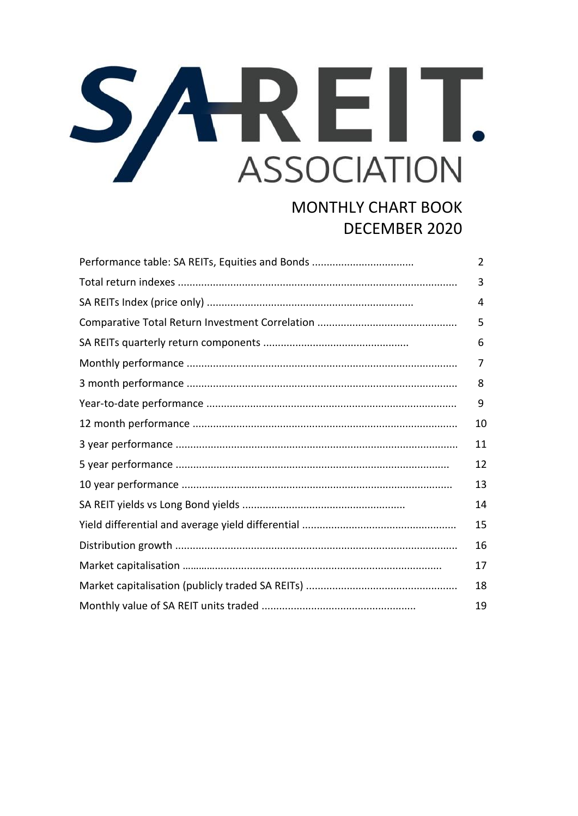## SAREIT. **ASSOCIATION**

## **MONTHLY CHART BOOK** DECEMBER 2020

| Performance table: SA REITs, Equities and Bonds | $\overline{2}$ |
|-------------------------------------------------|----------------|
|                                                 | 3              |
|                                                 | 4              |
|                                                 | 5              |
|                                                 | 6              |
|                                                 | 7              |
|                                                 | 8              |
|                                                 | 9              |
|                                                 | 10             |
|                                                 | 11             |
|                                                 | 12             |
|                                                 | 13             |
|                                                 | 14             |
|                                                 | 15             |
|                                                 | 16             |
|                                                 | 17             |
|                                                 | 18             |
|                                                 | 19             |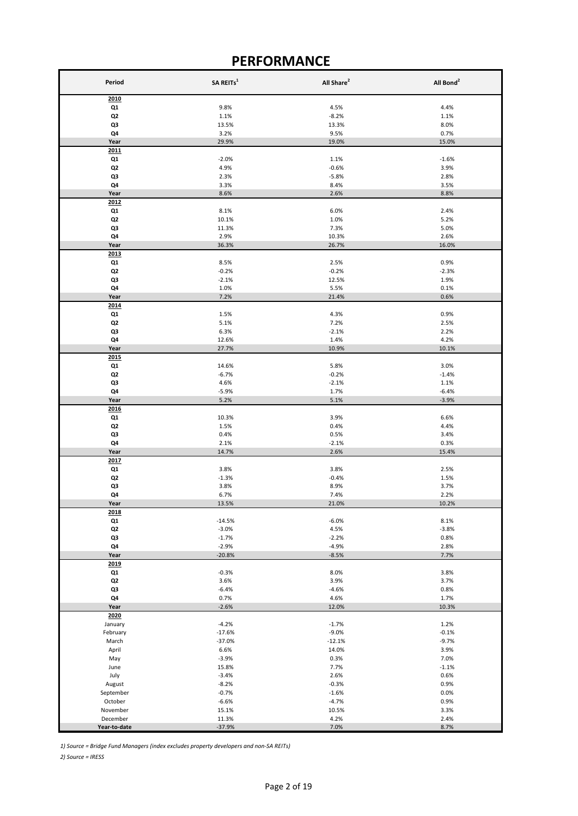## **PERFORMANCE**

| Period               | SA REITs <sup>1</sup> | All Share <sup>2</sup> | All Bond <sup>2</sup> |  |
|----------------------|-----------------------|------------------------|-----------------------|--|
| 2010                 |                       |                        |                       |  |
| Q1                   | 9.8%                  | 4.5%                   | 4.4%                  |  |
| Q2                   | 1.1%                  | $-8.2%$                | 1.1%                  |  |
| Q3<br>Q4             | 13.5%<br>3.2%         | 13.3%<br>9.5%          | 8.0%<br>0.7%          |  |
| Year                 | 29.9%                 | 19.0%                  | 15.0%                 |  |
| 2011                 |                       |                        |                       |  |
| Q1                   | $-2.0%$               | 1.1%                   | $-1.6%$               |  |
| Q <sub>2</sub>       | 4.9%                  | $-0.6%$                | 3.9%                  |  |
| Q3                   | 2.3%                  | $-5.8%$                | 2.8%                  |  |
| Q4<br>Year           | 3.3%<br>8.6%          | 8.4%<br>2.6%           | 3.5%<br>8.8%          |  |
| 2012                 |                       |                        |                       |  |
| Q1                   | 8.1%                  | 6.0%                   | 2.4%                  |  |
| Q <sub>2</sub>       | 10.1%                 | 1.0%                   | 5.2%                  |  |
| Q3                   | 11.3%                 | 7.3%                   | 5.0%                  |  |
| Q4                   | 2.9%                  | 10.3%                  | 2.6%                  |  |
| Year<br>2013         | 36.3%                 | 26.7%                  | 16.0%                 |  |
| Q1                   | 8.5%                  | 2.5%                   | 0.9%                  |  |
| Q <sub>2</sub>       | $-0.2%$               | $-0.2%$                | $-2.3%$               |  |
| Q3                   | $-2.1%$               | 12.5%                  | 1.9%                  |  |
| Q4                   | 1.0%                  | 5.5%                   | 0.1%                  |  |
| Year<br>2014         | 7.2%                  | 21.4%                  | 0.6%                  |  |
| Q1                   | 1.5%                  | 4.3%                   | 0.9%                  |  |
| Q2                   | 5.1%                  | 7.2%                   | 2.5%                  |  |
| Q3                   | 6.3%                  | $-2.1%$                | 2.2%                  |  |
| Q4                   | 12.6%                 | 1.4%                   | 4.2%                  |  |
| Year                 | 27.7%                 | 10.9%                  | 10.1%                 |  |
| 2015<br>Q1           | 14.6%                 | 5.8%                   | 3.0%                  |  |
| Q2                   | $-6.7%$               | $-0.2%$                | $-1.4%$               |  |
| Q3                   | 4.6%                  | $-2.1%$                | 1.1%                  |  |
| Q4                   | $-5.9%$               | 1.7%                   | $-6.4%$               |  |
| Year                 | 5.2%                  | 5.1%                   | $-3.9%$               |  |
| 2016                 |                       |                        |                       |  |
| Q1<br>Q2             | 10.3%<br>1.5%         | 3.9%<br>0.4%           | 6.6%<br>4.4%          |  |
| Q3                   | 0.4%                  | 0.5%                   | 3.4%                  |  |
| Q4                   | 2.1%                  | $-2.1%$                | 0.3%                  |  |
| Year                 | 14.7%                 | 2.6%                   | 15.4%                 |  |
| 2017                 |                       |                        |                       |  |
| Q1<br>Q <sub>2</sub> | 3.8%                  | 3.8%<br>$-0.4%$        | 2.5%                  |  |
| Q3                   | $-1.3%$<br>3.8%       | 8.9%                   | 1.5%<br>3.7%          |  |
| Q4                   | 6.7%                  | 7.4%                   | 2.2%                  |  |
| Year                 | 13.5%                 | 21.0%                  | 10.2%                 |  |
| 2018                 |                       |                        |                       |  |
| Q1<br>Q <sub>2</sub> | $-14.5%$<br>$-3.0%$   | $-6.0%$<br>4.5%        | 8.1%<br>$-3.8%$       |  |
| Q3                   | $-1.7%$               | $-2.2%$                | 0.8%                  |  |
| Q4                   | $-2.9%$               | $-4.9%$                | 2.8%                  |  |
| Year                 | $-20.8%$              | $-8.5%$                | 7.7%                  |  |
| 2019                 |                       |                        |                       |  |
| Q1<br>Q2             | $-0.3%$<br>3.6%       | 8.0%<br>3.9%           | 3.8%<br>3.7%          |  |
| Q3                   | $-6.4%$               | $-4.6%$                | 0.8%                  |  |
| Q4                   | 0.7%                  | 4.6%                   | 1.7%                  |  |
| Year                 | $-2.6%$               | 12.0%                  | 10.3%                 |  |
| 2020                 |                       |                        |                       |  |
| January              | $-4.2%$               | $-1.7%$                | 1.2%                  |  |
| February<br>March    | $-17.6%$<br>$-37.0%$  | $-9.0%$<br>$-12.1%$    | $-0.1%$<br>$-9.7%$    |  |
| April                | 6.6%                  | 14.0%                  | 3.9%                  |  |
| May                  | $-3.9%$               | 0.3%                   | 7.0%                  |  |
| June                 | 15.8%                 | 7.7%                   | $-1.1%$               |  |
| July                 | $-3.4%$               | 2.6%                   | 0.6%                  |  |
| August               | $-8.2%$               | $-0.3%$                | 0.9%                  |  |
| September<br>October | $-0.7%$<br>$-6.6%$    | $-1.6%$<br>$-4.7%$     | 0.0%<br>0.9%          |  |
| November             | 15.1%                 | 10.5%                  | 3.3%                  |  |
| December             | 11.3%                 | 4.2%                   | 2.4%                  |  |
| Year-to-date         | $-37.9%$              | 7.0%                   | 8.7%                  |  |

*1) Source = Bridge Fund Managers (index excludes property developers and non-SA REITs)*

*2) Source = IRESS*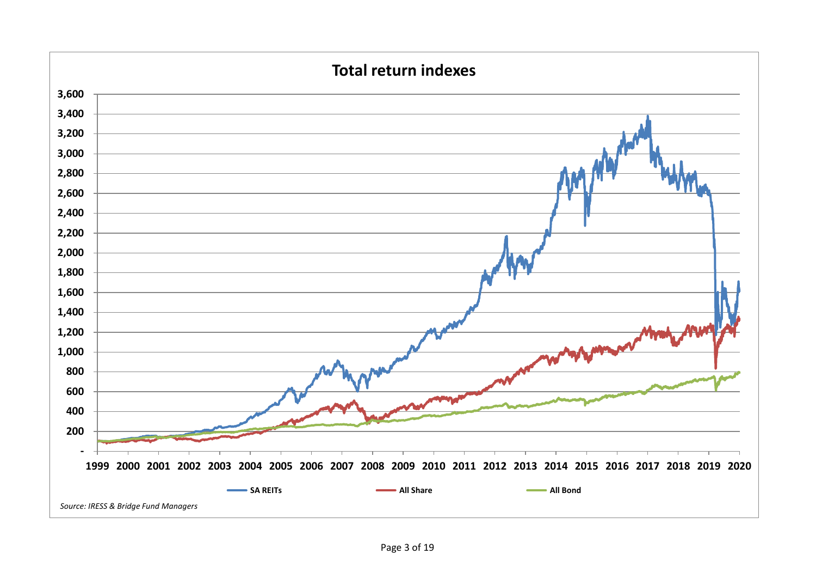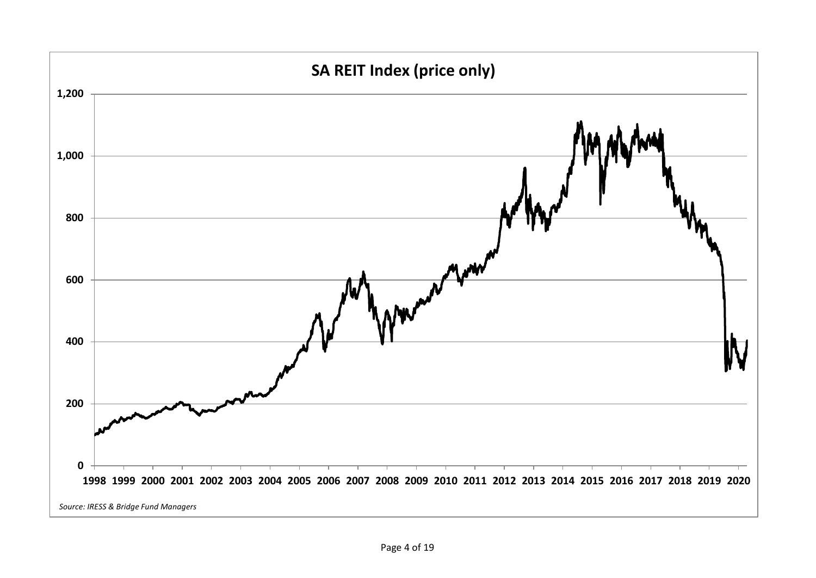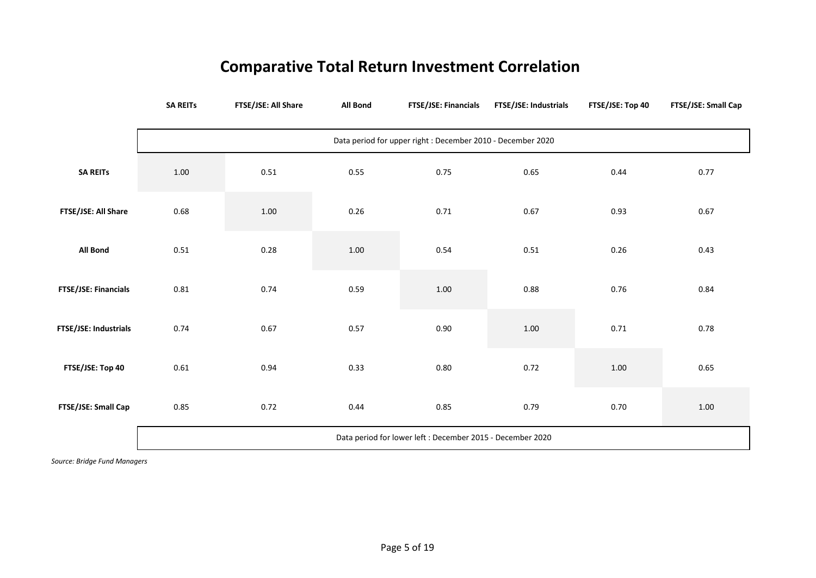## **Comparative Total Return Investment Correlation**

|                       | <b>SA REITS</b>                                             | FTSE/JSE: All Share | <b>All Bond</b> | FTSE/JSE: Financials | FTSE/JSE: Industrials | FTSE/JSE: Top 40 | FTSE/JSE: Small Cap |  |  |
|-----------------------|-------------------------------------------------------------|---------------------|-----------------|----------------------|-----------------------|------------------|---------------------|--|--|
|                       | Data period for upper right : December 2010 - December 2020 |                     |                 |                      |                       |                  |                     |  |  |
| <b>SA REITS</b>       | $1.00\,$                                                    | 0.51                | 0.55            | 0.75                 | 0.65                  | 0.44             | 0.77                |  |  |
| FTSE/JSE: All Share   | 0.68                                                        | 1.00                | 0.26            | 0.71                 | 0.67                  | 0.93             | 0.67                |  |  |
| All Bond              | 0.51                                                        | 0.28                | 1.00            | 0.54                 | 0.51                  | 0.26             | 0.43                |  |  |
| FTSE/JSE: Financials  | 0.81                                                        | 0.74                | 0.59            | $1.00\,$             | 0.88                  | 0.76             | 0.84                |  |  |
| FTSE/JSE: Industrials | 0.74                                                        | 0.67                | 0.57            | 0.90                 | 1.00                  | 0.71             | 0.78                |  |  |
| FTSE/JSE: Top 40      | 0.61                                                        | 0.94                | 0.33            | 0.80                 | 0.72                  | $1.00\,$         | 0.65                |  |  |
| FTSE/JSE: Small Cap   | 0.85                                                        | 0.72                | 0.44            | 0.85                 | 0.79                  | 0.70             | 1.00                |  |  |
|                       | Data period for lower left : December 2015 - December 2020  |                     |                 |                      |                       |                  |                     |  |  |

*Source: Bridge Fund Managers*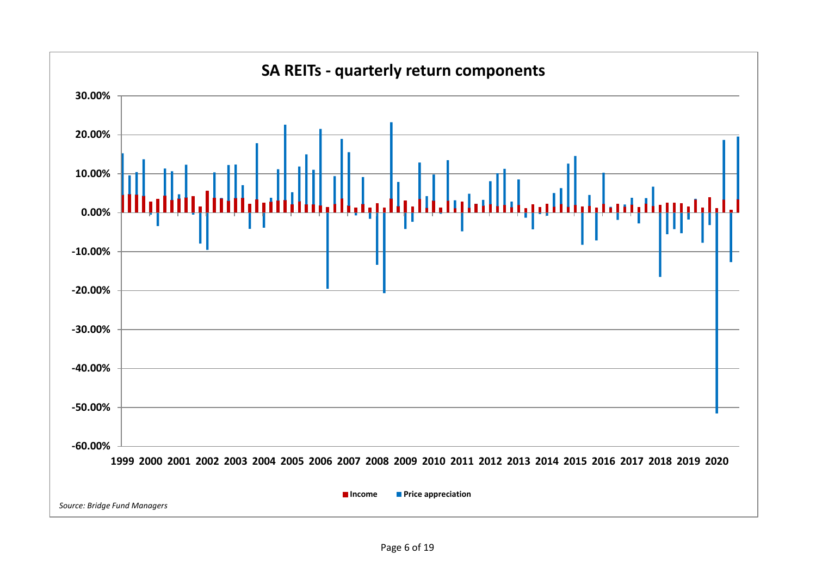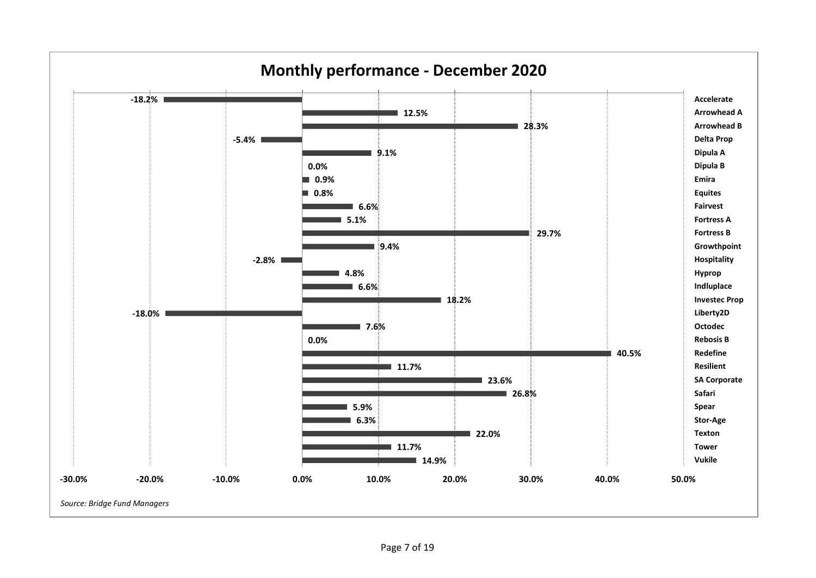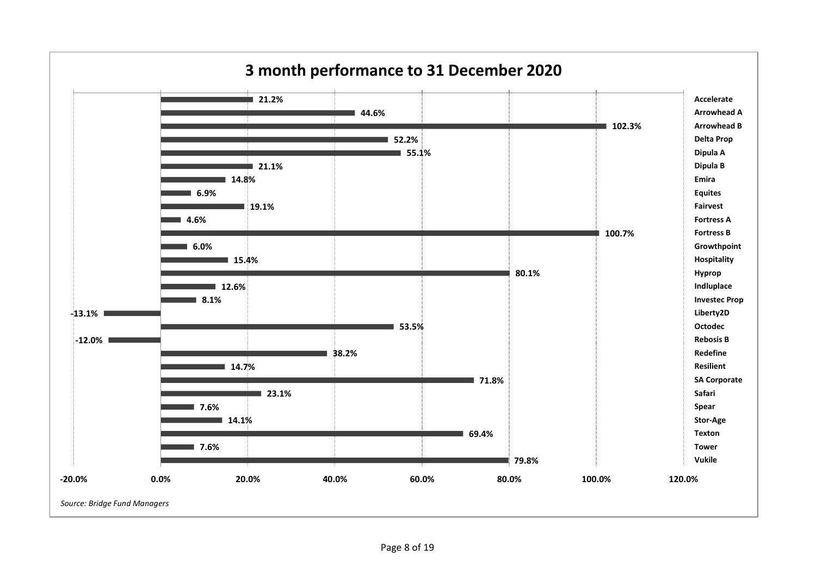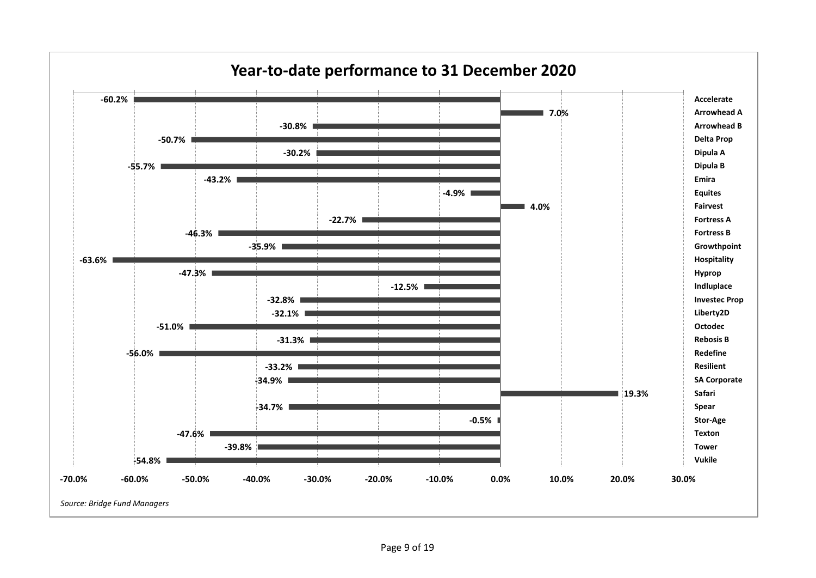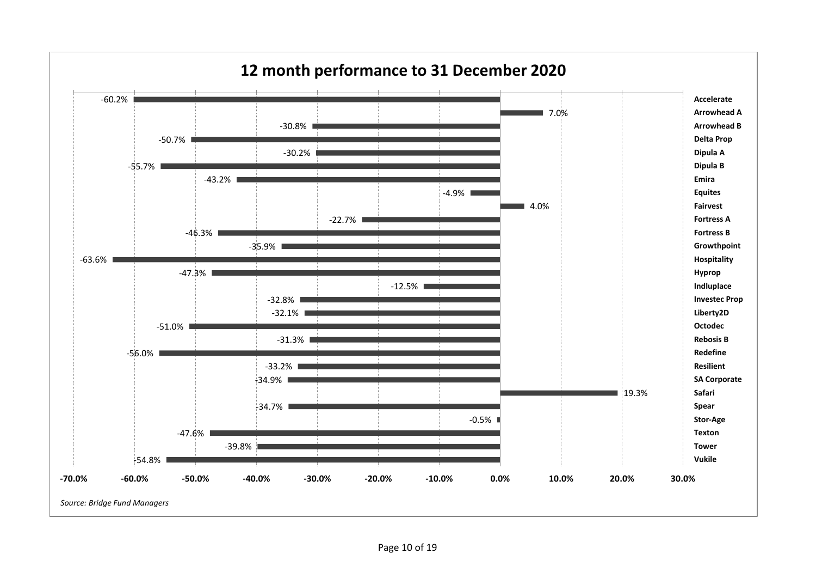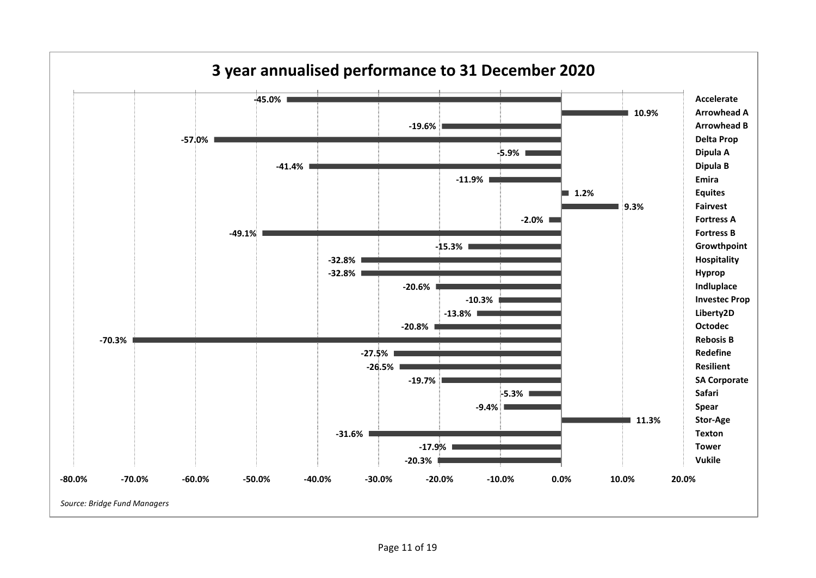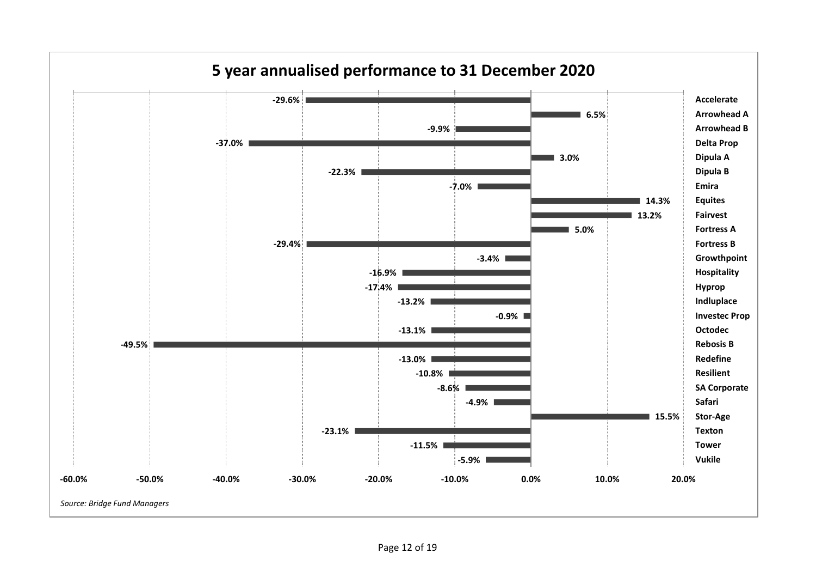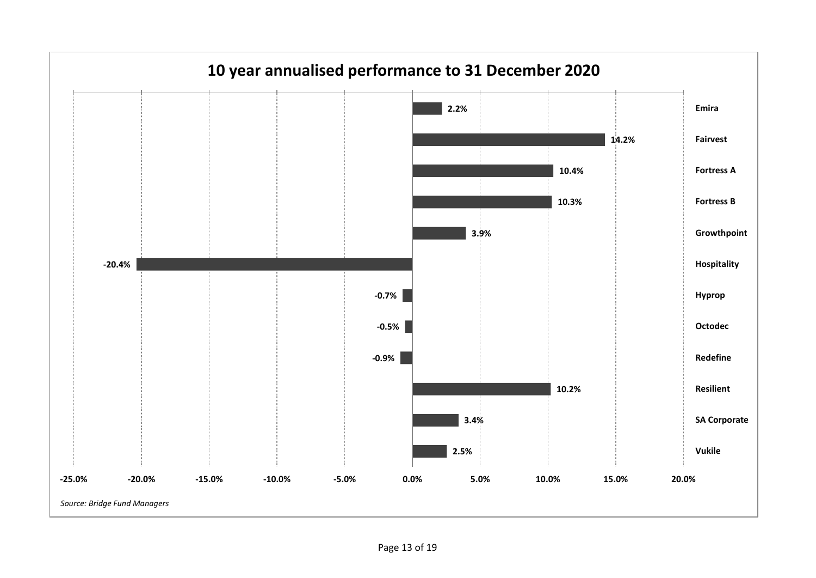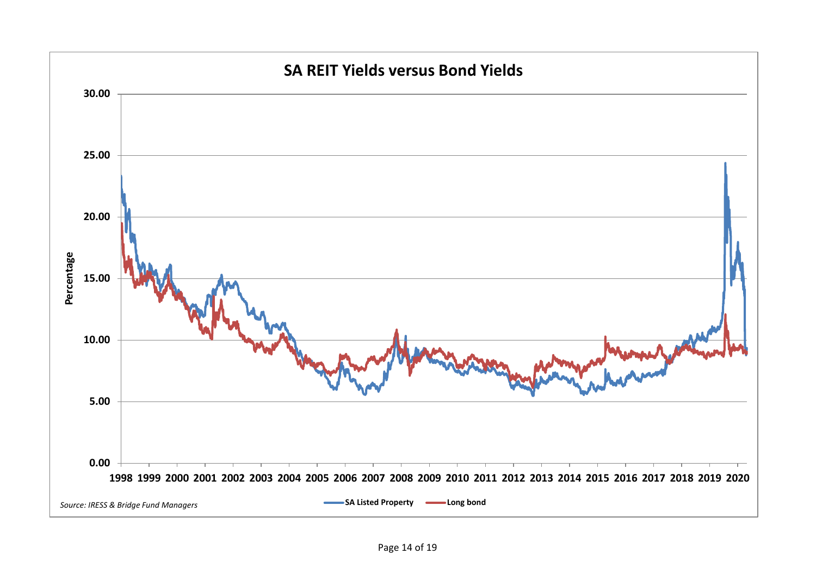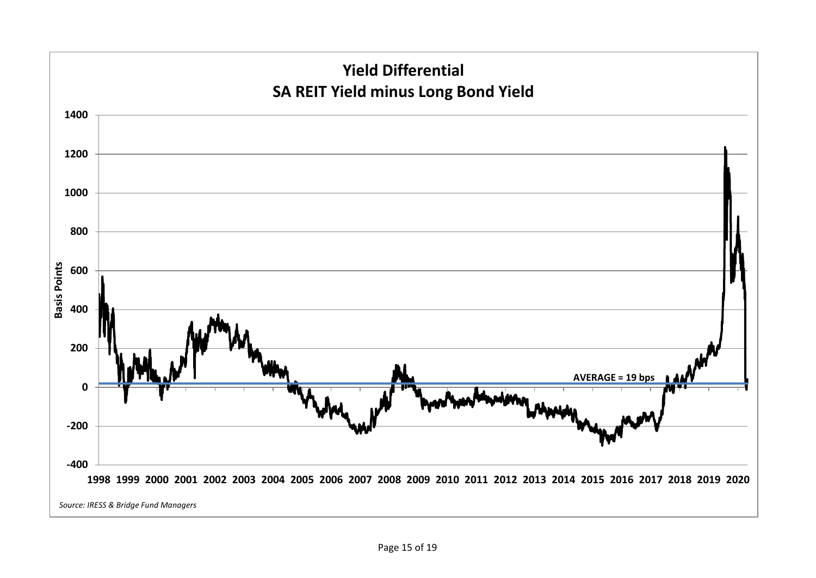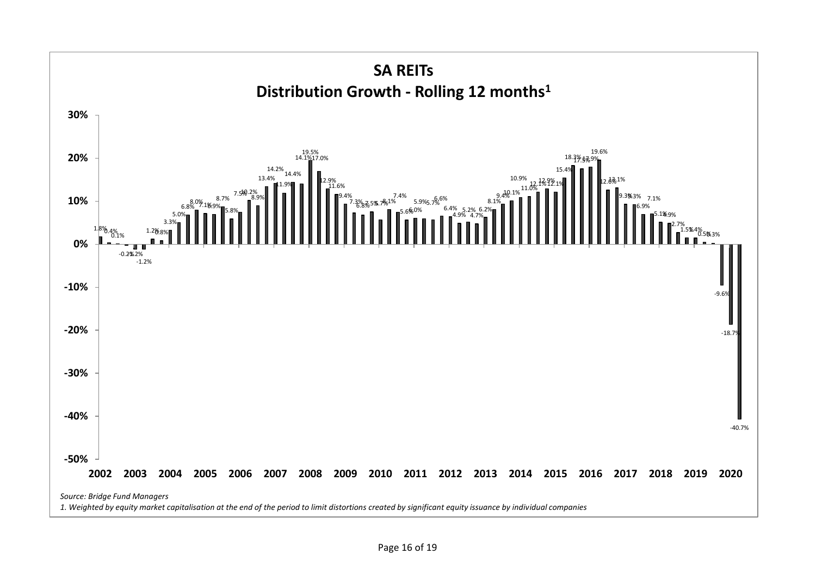![](_page_15_Figure_0.jpeg)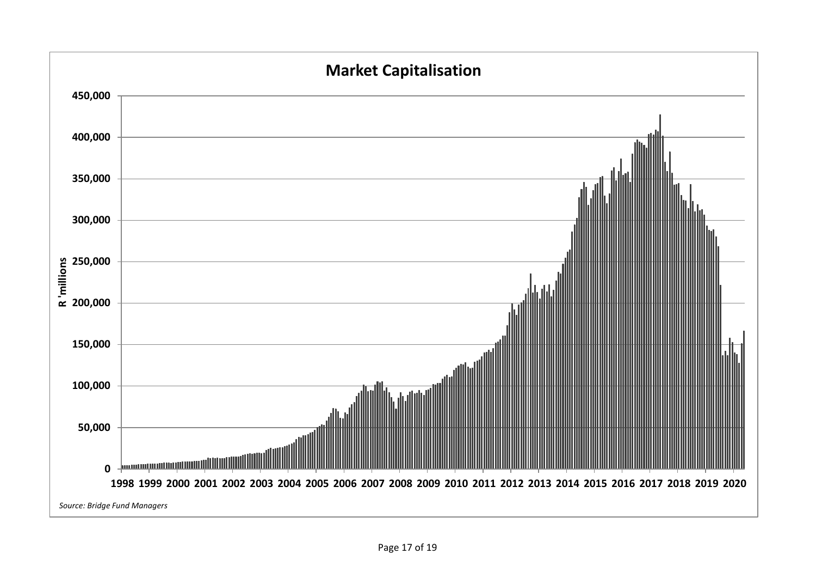![](_page_16_Figure_0.jpeg)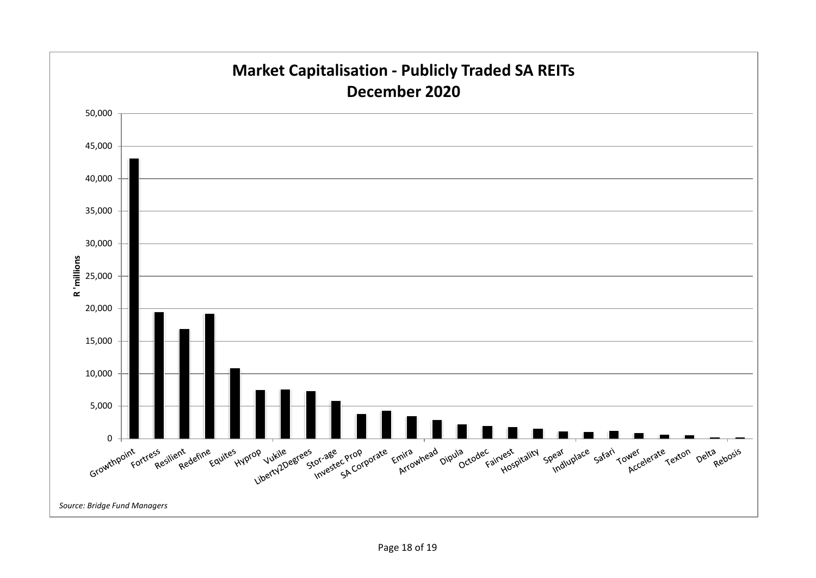![](_page_17_Figure_0.jpeg)